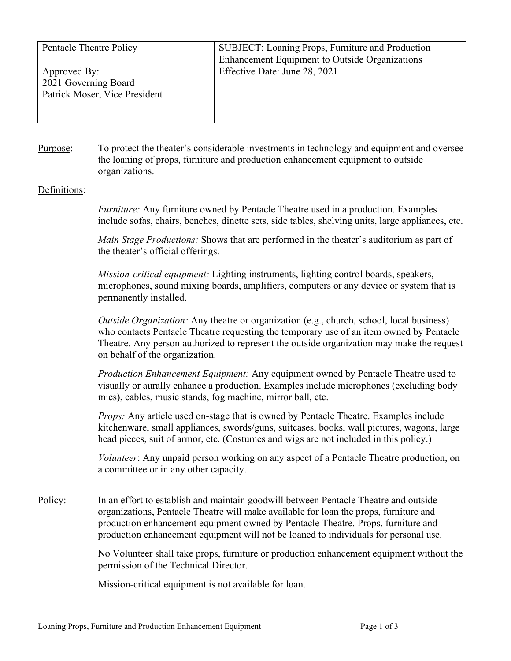| Pentacle Theatre Policy                                               | SUBJECT: Loaning Props, Furniture and Production<br>Enhancement Equipment to Outside Organizations |
|-----------------------------------------------------------------------|----------------------------------------------------------------------------------------------------|
| Approved By:<br>2021 Governing Board<br>Patrick Moser, Vice President | Effective Date: June 28, 2021                                                                      |

Purpose: To protect the theater's considerable investments in technology and equipment and oversee the loaning of props, furniture and production enhancement equipment to outside organizations.

## Definitions:

*Furniture:* Any furniture owned by Pentacle Theatre used in a production. Examples include sofas, chairs, benches, dinette sets, side tables, shelving units, large appliances, etc.

*Main Stage Productions:* Shows that are performed in the theater's auditorium as part of the theater's official offerings.

*Mission-critical equipment:* Lighting instruments, lighting control boards, speakers, microphones, sound mixing boards, amplifiers, computers or any device or system that is permanently installed.

*Outside Organization:* Any theatre or organization (e.g., church, school, local business) who contacts Pentacle Theatre requesting the temporary use of an item owned by Pentacle Theatre. Any person authorized to represent the outside organization may make the request on behalf of the organization.

*Production Enhancement Equipment:* Any equipment owned by Pentacle Theatre used to visually or aurally enhance a production. Examples include microphones (excluding body mics), cables, music stands, fog machine, mirror ball, etc.

*Props:* Any article used on-stage that is owned by Pentacle Theatre. Examples include kitchenware, small appliances, swords/guns, suitcases, books, wall pictures, wagons, large head pieces, suit of armor, etc. (Costumes and wigs are not included in this policy.)

*Volunteer*: Any unpaid person working on any aspect of a Pentacle Theatre production, on a committee or in any other capacity.

Policy: In an effort to establish and maintain goodwill between Pentacle Theatre and outside organizations, Pentacle Theatre will make available for loan the props, furniture and production enhancement equipment owned by Pentacle Theatre. Props, furniture and production enhancement equipment will not be loaned to individuals for personal use.

> No Volunteer shall take props, furniture or production enhancement equipment without the permission of the Technical Director.

Mission-critical equipment is not available for loan.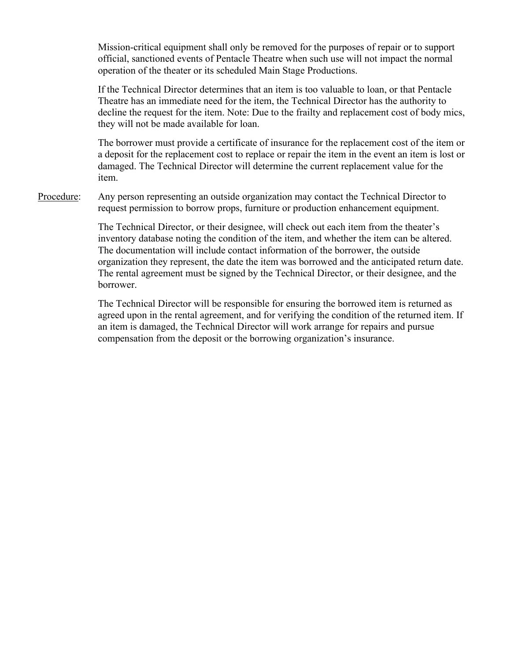Mission-critical equipment shall only be removed for the purposes of repair or to support official, sanctioned events of Pentacle Theatre when such use will not impact the normal operation of the theater or its scheduled Main Stage Productions.

If the Technical Director determines that an item is too valuable to loan, or that Pentacle Theatre has an immediate need for the item, the Technical Director has the authority to decline the request for the item. Note: Due to the frailty and replacement cost of body mics, they will not be made available for loan.

The borrower must provide a certificate of insurance for the replacement cost of the item or a deposit for the replacement cost to replace or repair the item in the event an item is lost or damaged. The Technical Director will determine the current replacement value for the item.

Procedure: Any person representing an outside organization may contact the Technical Director to request permission to borrow props, furniture or production enhancement equipment.

> The Technical Director, or their designee, will check out each item from the theater's inventory database noting the condition of the item, and whether the item can be altered. The documentation will include contact information of the borrower, the outside organization they represent, the date the item was borrowed and the anticipated return date. The rental agreement must be signed by the Technical Director, or their designee, and the borrower.

> The Technical Director will be responsible for ensuring the borrowed item is returned as agreed upon in the rental agreement, and for verifying the condition of the returned item. If an item is damaged, the Technical Director will work arrange for repairs and pursue compensation from the deposit or the borrowing organization's insurance.